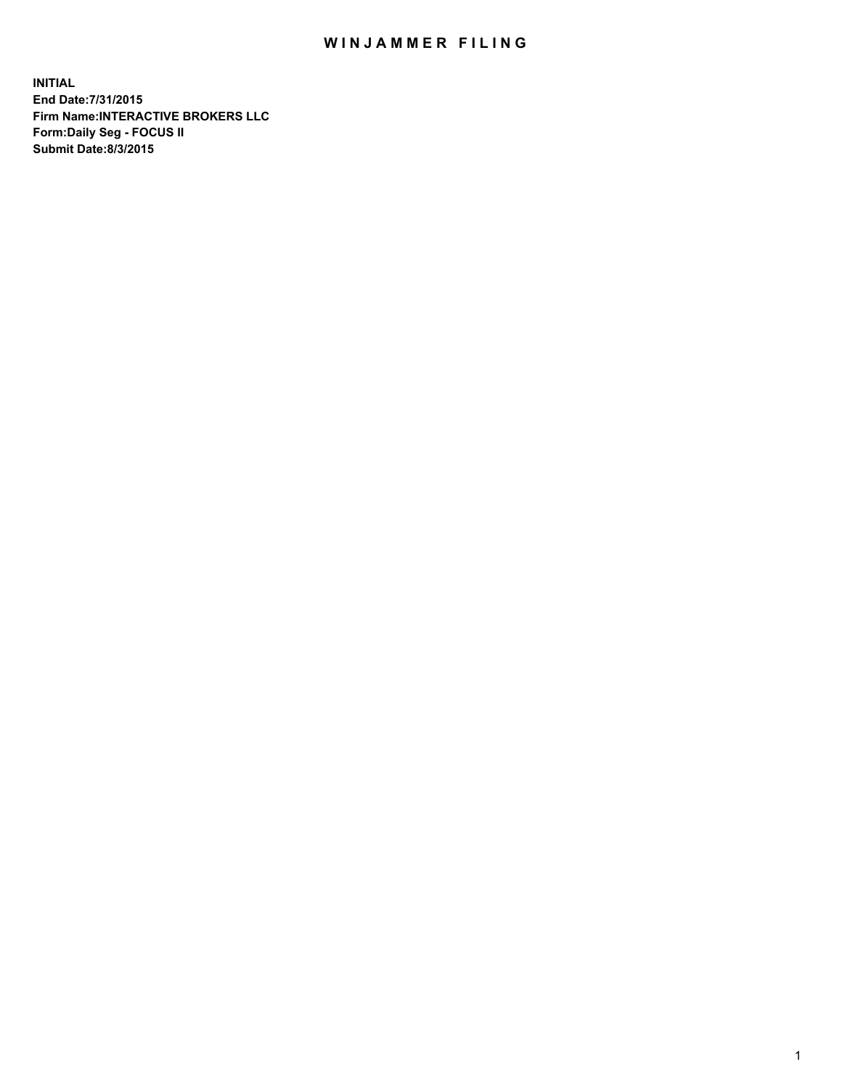## WIN JAMMER FILING

**INITIAL End Date:7/31/2015 Firm Name:INTERACTIVE BROKERS LLC Form:Daily Seg - FOCUS II Submit Date:8/3/2015**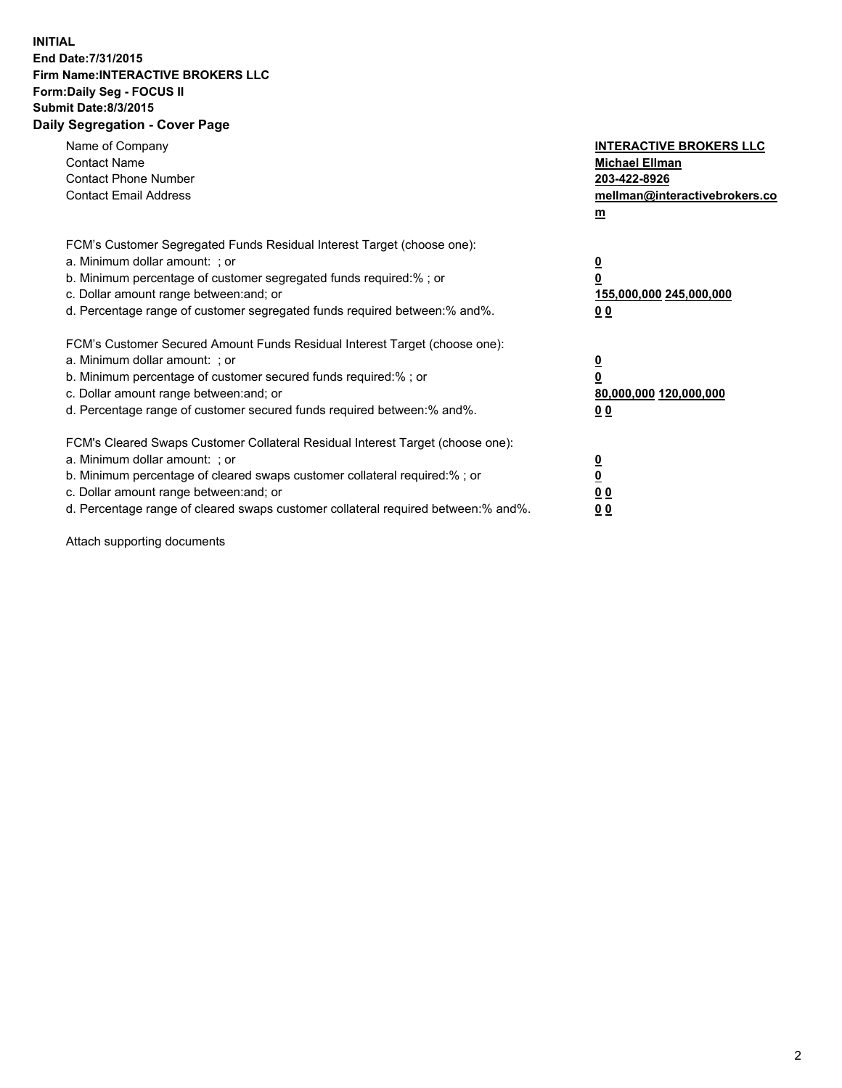## **INITIAL End Date:7/31/2015 Firm Name:INTERACTIVE BROKERS LLC Form:Daily Seg - FOCUS II Submit Date:8/3/2015 Daily Segregation - Cover Page**

| Name of Company<br><b>Contact Name</b><br><b>Contact Phone Number</b><br><b>Contact Email Address</b>                                                                                                                                                                                                                          | <b>INTERACTIVE BROKERS LLC</b><br><b>Michael Ellman</b><br>203-422-8926<br>mellman@interactivebrokers.co<br>$\mathbf{m}$ |
|--------------------------------------------------------------------------------------------------------------------------------------------------------------------------------------------------------------------------------------------------------------------------------------------------------------------------------|--------------------------------------------------------------------------------------------------------------------------|
| FCM's Customer Segregated Funds Residual Interest Target (choose one):<br>a. Minimum dollar amount: ; or<br>b. Minimum percentage of customer segregated funds required:% ; or<br>c. Dollar amount range between: and; or<br>d. Percentage range of customer segregated funds required between:% and%.                         | $\overline{\mathbf{0}}$<br>0<br>155,000,000 245,000,000<br>0 <sub>0</sub>                                                |
| FCM's Customer Secured Amount Funds Residual Interest Target (choose one):<br>a. Minimum dollar amount: ; or<br>b. Minimum percentage of customer secured funds required:%; or<br>c. Dollar amount range between: and; or<br>d. Percentage range of customer secured funds required between: % and %.                          | $\overline{\mathbf{0}}$<br>0<br>80,000,000 120,000,000<br>0 <sub>0</sub>                                                 |
| FCM's Cleared Swaps Customer Collateral Residual Interest Target (choose one):<br>a. Minimum dollar amount: ; or<br>b. Minimum percentage of cleared swaps customer collateral required:% ; or<br>c. Dollar amount range between: and; or<br>d. Percentage range of cleared swaps customer collateral required between:% and%. | $\overline{\mathbf{0}}$<br>$\overline{\mathbf{0}}$<br>0 <sub>0</sub><br>0 <sub>0</sub>                                   |

Attach supporting documents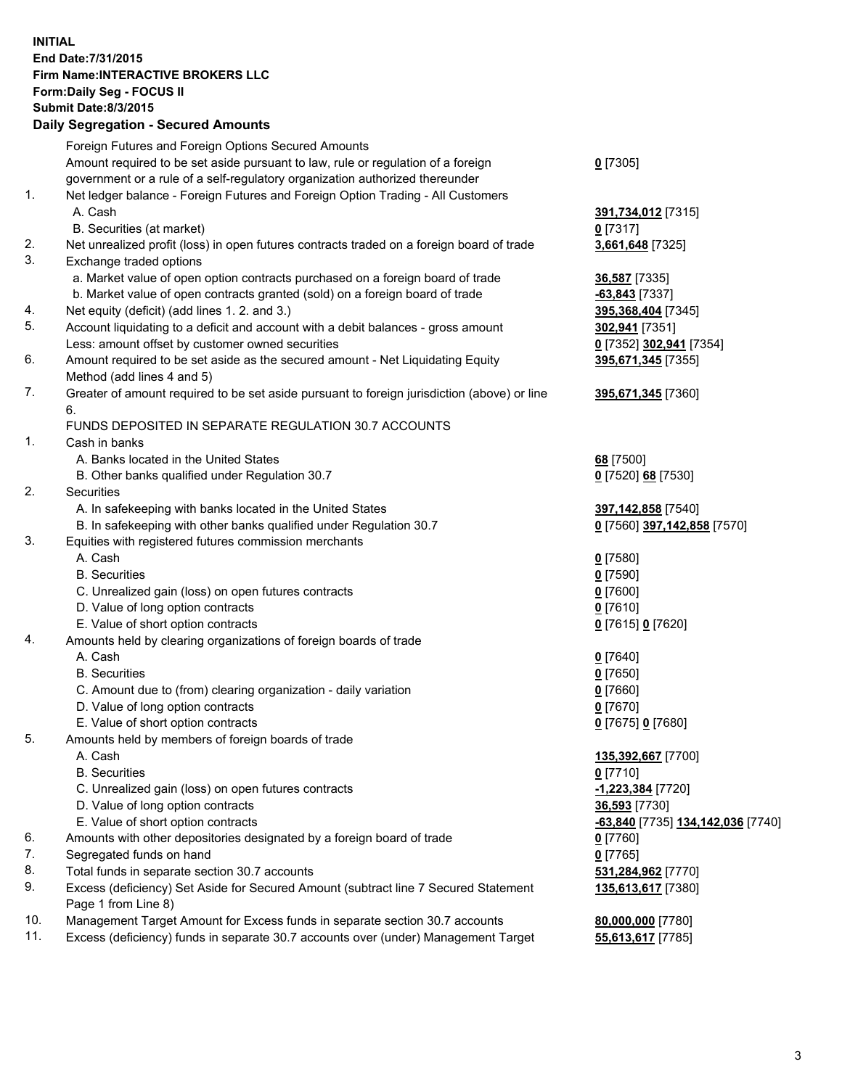## **INITIAL End Date:7/31/2015 Firm Name:INTERACTIVE BROKERS LLC Form:Daily Seg - FOCUS II Submit Date:8/3/2015 Daily Segregation - Secured Amounts**

|     | Foreign Futures and Foreign Options Secured Amounts                                         |                                   |
|-----|---------------------------------------------------------------------------------------------|-----------------------------------|
|     | Amount required to be set aside pursuant to law, rule or regulation of a foreign            | $0$ [7305]                        |
|     | government or a rule of a self-regulatory organization authorized thereunder                |                                   |
| 1.  | Net ledger balance - Foreign Futures and Foreign Option Trading - All Customers             |                                   |
|     | A. Cash                                                                                     | 391,734,012 [7315]                |
|     | B. Securities (at market)                                                                   | $0$ [7317]                        |
| 2.  | Net unrealized profit (loss) in open futures contracts traded on a foreign board of trade   | 3,661,648 [7325]                  |
| 3.  | Exchange traded options                                                                     |                                   |
|     | a. Market value of open option contracts purchased on a foreign board of trade              | 36,587 [7335]                     |
|     | b. Market value of open contracts granted (sold) on a foreign board of trade                | -63,843 [7337]                    |
| 4.  | Net equity (deficit) (add lines 1.2. and 3.)                                                | 395,368,404 [7345]                |
| 5.  | Account liquidating to a deficit and account with a debit balances - gross amount           | 302,941 [7351]                    |
|     | Less: amount offset by customer owned securities                                            |                                   |
| 6.  |                                                                                             | 0 [7352] 302,941 [7354]           |
|     | Amount required to be set aside as the secured amount - Net Liquidating Equity              | 395,671,345 [7355]                |
|     | Method (add lines 4 and 5)                                                                  |                                   |
| 7.  | Greater of amount required to be set aside pursuant to foreign jurisdiction (above) or line | 395,671,345 [7360]                |
|     | 6.                                                                                          |                                   |
|     | FUNDS DEPOSITED IN SEPARATE REGULATION 30.7 ACCOUNTS                                        |                                   |
| 1.  | Cash in banks                                                                               |                                   |
|     | A. Banks located in the United States                                                       | 68 [7500]                         |
|     | B. Other banks qualified under Regulation 30.7                                              | 0 [7520] 68 [7530]                |
| 2.  | Securities                                                                                  |                                   |
|     | A. In safekeeping with banks located in the United States                                   | 397,142,858 [7540]                |
|     | B. In safekeeping with other banks qualified under Regulation 30.7                          | 0 [7560] 397,142,858 [7570]       |
| 3.  | Equities with registered futures commission merchants                                       |                                   |
|     | A. Cash                                                                                     | $0$ [7580]                        |
|     | <b>B.</b> Securities                                                                        | $0$ [7590]                        |
|     | C. Unrealized gain (loss) on open futures contracts                                         | $0$ [7600]                        |
|     | D. Value of long option contracts                                                           | $0$ [7610]                        |
|     | E. Value of short option contracts                                                          | 0 [7615] 0 [7620]                 |
| 4.  | Amounts held by clearing organizations of foreign boards of trade                           |                                   |
|     | A. Cash                                                                                     | $0$ [7640]                        |
|     | <b>B.</b> Securities                                                                        | $0$ [7650]                        |
|     | C. Amount due to (from) clearing organization - daily variation                             | $0$ [7660]                        |
|     | D. Value of long option contracts                                                           | $0$ [7670]                        |
|     | E. Value of short option contracts                                                          | 0 [7675] 0 [7680]                 |
| 5.  | Amounts held by members of foreign boards of trade                                          |                                   |
|     | A. Cash                                                                                     | 135,392,667 [7700]                |
|     | <b>B.</b> Securities                                                                        | $0$ [7710]                        |
|     | C. Unrealized gain (loss) on open futures contracts                                         | -1,223,384 [7720]                 |
|     | D. Value of long option contracts                                                           | 36,593 [7730]                     |
|     | E. Value of short option contracts                                                          | -63,840 [7735] 134,142,036 [7740] |
| 6.  | Amounts with other depositories designated by a foreign board of trade                      | $0$ [7760]                        |
| 7.  | Segregated funds on hand                                                                    | $0$ [7765]                        |
| 8.  | Total funds in separate section 30.7 accounts                                               | 531,284,962 [7770]                |
| 9.  | Excess (deficiency) Set Aside for Secured Amount (subtract line 7 Secured Statement         | 135,613,617 [7380]                |
|     | Page 1 from Line 8)                                                                         |                                   |
| 10. | Management Target Amount for Excess funds in separate section 30.7 accounts                 | 80,000,000 [7780]                 |
| 11. | Excess (deficiency) funds in separate 30.7 accounts over (under) Management Target          | 55,613,617 [7785]                 |
|     |                                                                                             |                                   |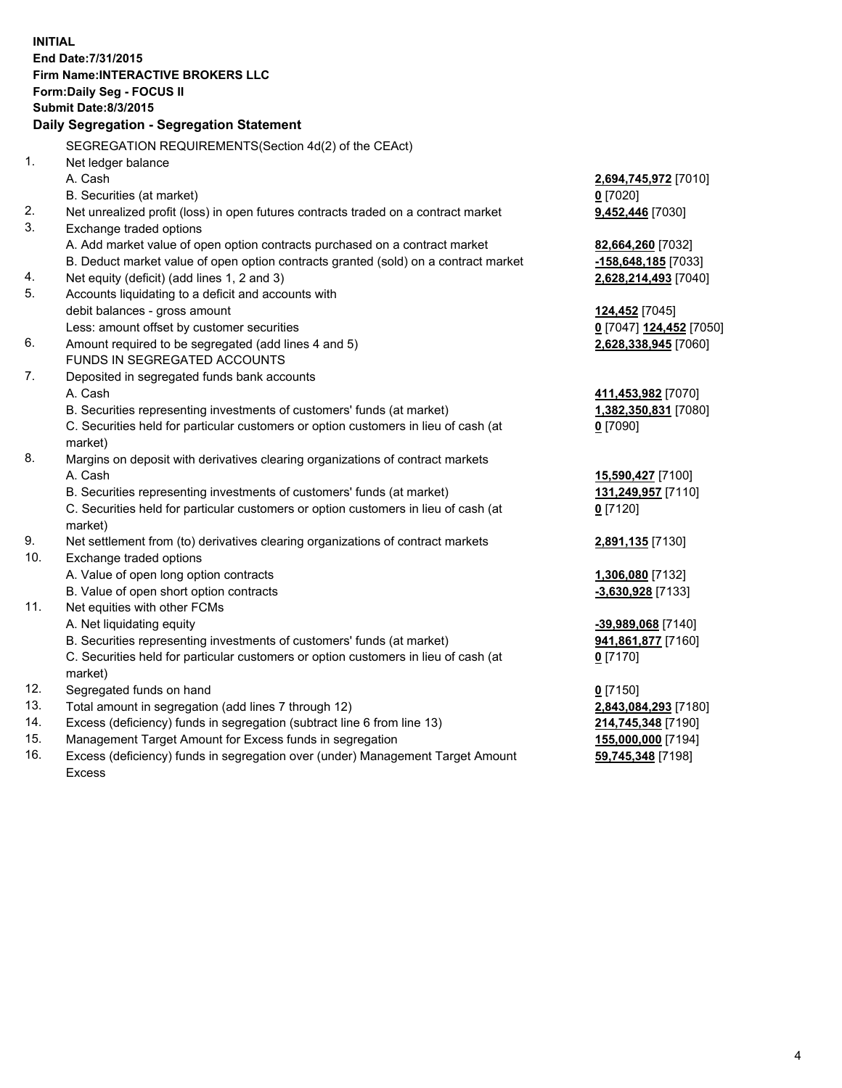**INITIAL End Date:7/31/2015 Firm Name:INTERACTIVE BROKERS LLC Form:Daily Seg - FOCUS II Submit Date:8/3/2015 Daily Segregation - Segregation Statement** SEGREGATION REQUIREMENTS(Section 4d(2) of the CEAct) 1. Net ledger balance A. Cash **2,694,745,972** [7010] B. Securities (at market) **0** [7020] 2. Net unrealized profit (loss) in open futures contracts traded on a contract market **9,452,446** [7030] 3. Exchange traded options A. Add market value of open option contracts purchased on a contract market **82,664,260** [7032] B. Deduct market value of open option contracts granted (sold) on a contract market **-158,648,185** [7033] 4. Net equity (deficit) (add lines 1, 2 and 3) **2,628,214,493** [7040] 5. Accounts liquidating to a deficit and accounts with debit balances - gross amount **124,452** [7045] Less: amount offset by customer securities **0** [7047] **124,452** [7050] 6. Amount required to be segregated (add lines 4 and 5) **2,628,338,945** [7060] FUNDS IN SEGREGATED ACCOUNTS 7. Deposited in segregated funds bank accounts A. Cash **411,453,982** [7070] B. Securities representing investments of customers' funds (at market) **1,382,350,831** [7080] C. Securities held for particular customers or option customers in lieu of cash (at market) **0** [7090] 8. Margins on deposit with derivatives clearing organizations of contract markets A. Cash **15,590,427** [7100] B. Securities representing investments of customers' funds (at market) **131,249,957** [7110] C. Securities held for particular customers or option customers in lieu of cash (at market) **0** [7120] 9. Net settlement from (to) derivatives clearing organizations of contract markets **2,891,135** [7130] 10. Exchange traded options A. Value of open long option contracts **1,306,080** [7132] B. Value of open short option contracts **-3,630,928** [7133] 11. Net equities with other FCMs A. Net liquidating equity **-39,989,068** [7140] B. Securities representing investments of customers' funds (at market) **941,861,877** [7160] C. Securities held for particular customers or option customers in lieu of cash (at market) **0** [7170] 12. Segregated funds on hand **0** [7150] 13. Total amount in segregation (add lines 7 through 12) **2,843,084,293** [7180] 14. Excess (deficiency) funds in segregation (subtract line 6 from line 13) **214,745,348** [7190] 15. Management Target Amount for Excess funds in segregation **155,000,000** [7194]

16. Excess (deficiency) funds in segregation over (under) Management Target Amount Excess

**59,745,348** [7198]